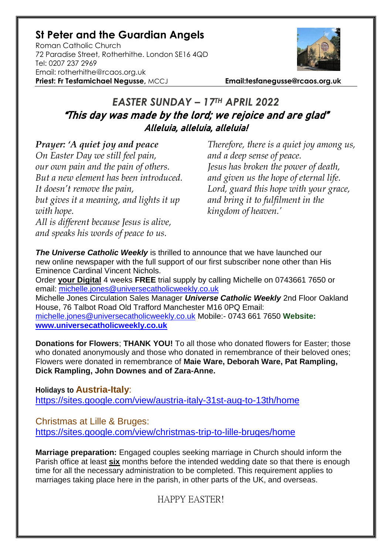# **St Peter and the Guardian Angels**

Roman Catholic Church 72 Paradise Street, Rotherhithe. London SE16 4QD [Tel: 0207](tel:0207) 237 2969 Email: rotherhithe@rcaos.org.uk **Priest: Fr Tesfamichael Negusse,** MCCJ **Email:tesfanegusse@rcaos.org.uk**



# *EASTER SUNDAY – 17TH APRIL 2022* "This day was made by the lord; we rejoice and are glad" Alleluia, alleluia, alleluia!

### *Prayer: 'A quiet joy and peace*

*On Easter Day we still feel pain, our own pain and the pain of others. But a new element has been introduced. It doesn't remove the pain, but gives it a meaning, and lights it up with hope.*

*All is different because Jesus is alive, and speaks his words of peace to us.*

*Therefore, there is a quiet joy among us, and a deep sense of peace. Jesus has broken the power of death, and given us the hope of eternal life. Lord, guard this hope with your grace, and bring it to fulfilment in the kingdom of heaven.'*

**The Universe Catholic Weekly** is thrilled to announce that we have launched our new online newspaper with the full support of our first subscriber none other than His Eminence Cardinal Vincent Nichols.

Order **your Digital** 4 weeks **FREE** trial supply by calling Michelle on 0743661 7650 or email: [michelle.jones@universecatholicweekly.co.uk](mailto:michelle.jones@universecatholicweekly.co.uk)

Michelle Jones Circulation Sales Manager *Universe Catholic Weekly* 2nd Floor Oakland House, 76 Talbot Road Old Trafford Manchester M16 0PQ Email: [michelle.jones@universecatholicweekly.co.uk](mailto:michelle.jones@universecatholicweekly.co.uk) Mobile:- 0743 661 7650 **Website: [www.universecatholicweekly.co.uk](http://www.universecatholicweekly.co.uk/)**

**Donations for Flowers**; **THANK YOU!** To all those who donated flowers for Easter; those who donated anonymously and those who donated in remembrance of their beloved ones; Flowers were donated in remembrance of **Maie Ware, Deborah Ware, Pat Rampling, Dick Rampling, John Downes and of Zara-Anne.**

**Holidays to Austria-Italy**: <https://sites.google.com/view/austria-italy-31st-aug-to-13th/home>

Christmas at Lille & Bruges: <https://sites.google.com/view/christmas-trip-to-lille-bruges/home>

**Marriage preparation:** Engaged couples seeking marriage in Church should inform the Parish office at least **six** months before the intended wedding date so that there is enough time for all the necessary administration to be completed. This requirement applies to marriages taking place here in the parish, in other parts of the UK, and overseas.

HAPPY EASTER!